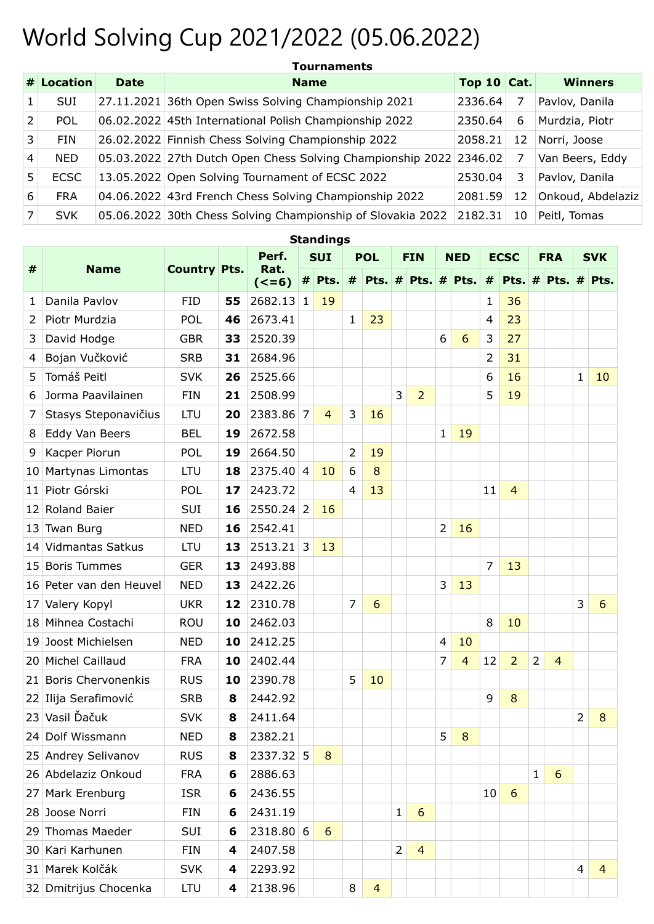## World Solving Cup 2021/2022 (05.06.2022)

|                | $#$ Location | <b>Date</b> | <b>Name</b>                                                        | Top 10 $\vert$ Cat. |    | <b>Winners</b>    |
|----------------|--------------|-------------|--------------------------------------------------------------------|---------------------|----|-------------------|
| 1.             | <b>SUI</b>   |             | 27.11.2021 36th Open Swiss Solving Championship 2021               | 2336.64             |    | Pavlov, Danila    |
| 2              | <b>POL</b>   |             | 06.02.2022 45th International Polish Championship 2022             | 2350.64             | 6  | Murdzia, Piotr    |
| 3              | <b>FIN</b>   |             | 26.02.2022 Finnish Chess Solving Championship 2022                 | 2058.21             | 12 | Norri, Joose      |
| $\overline{4}$ | <b>NED</b>   |             | 05.03.2022 27th Dutch Open Chess Solving Championship 2022 2346.02 |                     | 7  | Van Beers, Eddy   |
| 5.             | <b>ECSC</b>  |             | 13.05.2022 Open Solving Tournament of ECSC 2022                    | 2530.04             | 3  | Pavlov, Danila    |
| 6              | <b>FRA</b>   |             | 04.06.2022 43rd French Chess Solving Championship 2022             | 2081.59             | 12 | Onkoud, Abdelaziz |
| $\overline{7}$ | <b>SVK</b>   |             | 05.06.2022 30th Chess Solving Championship of Slovakia 2022        | 2182.31             | 10 | Peitl, Tomas      |

**Standings**

|                 |                         | <b>Country Pts.</b> |    | Perf.           | <b>SUI</b>     |                | <b>POL</b>     |                | <b>FIN</b>     |                          | <b>NED</b>     |                | <b>ECSC</b>    |                | <b>FRA</b>     |                | <b>SVK</b>     |                        |
|-----------------|-------------------------|---------------------|----|-----------------|----------------|----------------|----------------|----------------|----------------|--------------------------|----------------|----------------|----------------|----------------|----------------|----------------|----------------|------------------------|
| #               | <b>Name</b>             |                     |    | Rat.<br>$(<=6)$ | #              | Pts.           | $\pmb{\#}$     |                |                | Pts. $\#$ Pts. $\#$ Pts. |                |                | #              |                |                |                |                | Pts. $#$ Pts. $#$ Pts. |
| 1               | Danila Pavlov           | <b>FID</b>          | 55 | 2682.13         | 1              | 19             |                |                |                |                          |                |                | 1              | 36             |                |                |                |                        |
| $\overline{2}$  | Piotr Murdzia           | <b>POL</b>          | 46 | 2673.41         |                |                | 1              | 23             |                |                          |                |                | $\overline{4}$ | 23             |                |                |                |                        |
| 3               | David Hodge             | <b>GBR</b>          | 33 | 2520.39         |                |                |                |                |                |                          | 6              | 6              | 3              | 27             |                |                |                |                        |
| 4               | Bojan Vučković          | <b>SRB</b>          | 31 | 2684.96         |                |                |                |                |                |                          |                |                | $\overline{2}$ | 31             |                |                |                |                        |
| 5               | Tomáš Peitl             | <b>SVK</b>          | 26 | 2525.66         |                |                |                |                |                |                          |                |                | 6              | 16             |                |                | 1              | 10                     |
| 6               | Jorma Paavilainen       | <b>FIN</b>          | 21 | 2508.99         |                |                |                |                | 3              | $\overline{2}$           |                |                | 5              | 19             |                |                |                |                        |
| 7               | Stasys Steponavičius    | <b>LTU</b>          | 20 | 2383.86 7       |                | $\overline{4}$ | 3              | 16             |                |                          |                |                |                |                |                |                |                |                        |
| 8               | Eddy Van Beers          | <b>BEL</b>          | 19 | 2672.58         |                |                |                |                |                |                          | $\mathbf{1}$   | 19             |                |                |                |                |                |                        |
| 9               | Kacper Piorun           | POL                 | 19 | 2664.50         |                |                | $\overline{2}$ | 19             |                |                          |                |                |                |                |                |                |                |                        |
| 10 <sup>1</sup> | Martynas Limontas       | <b>LTU</b>          | 18 | 2375.40         | $\overline{4}$ | 10             | 6              | 8              |                |                          |                |                |                |                |                |                |                |                        |
|                 | 11 Piotr Górski         | POL                 | 17 | 2423.72         |                |                | $\overline{4}$ | 13             |                |                          |                |                | 11             | $\overline{4}$ |                |                |                |                        |
|                 | 12 Roland Baier         | SUI                 | 16 | $2550.24$ 2     |                | 16             |                |                |                |                          |                |                |                |                |                |                |                |                        |
|                 | 13 Twan Burg            | <b>NED</b>          | 16 | 2542.41         |                |                |                |                |                |                          | $\overline{2}$ | 16             |                |                |                |                |                |                        |
|                 | 14 Vidmantas Satkus     | <b>LTU</b>          | 13 | $2513.21$ 3     |                | 13             |                |                |                |                          |                |                |                |                |                |                |                |                        |
|                 | 15 Boris Tummes         | <b>GER</b>          | 13 | 2493.88         |                |                |                |                |                |                          |                |                | $\overline{7}$ | 13             |                |                |                |                        |
|                 | 16 Peter van den Heuvel | <b>NED</b>          | 13 | 2422.26         |                |                |                |                |                |                          | 3              | 13             |                |                |                |                |                |                        |
| 17              | Valery Kopyl            | <b>UKR</b>          | 12 | 2310.78         |                |                | $\overline{7}$ | 6              |                |                          |                |                |                |                |                |                | 3              | 6                      |
|                 | 18 Mihnea Costachi      | <b>ROU</b>          | 10 | 2462.03         |                |                |                |                |                |                          |                |                | 8              | 10             |                |                |                |                        |
| 19              | Joost Michielsen        | <b>NED</b>          | 10 | 2412.25         |                |                |                |                |                |                          | $\overline{4}$ | 10             |                |                |                |                |                |                        |
|                 | 20 Michel Caillaud      | <b>FRA</b>          | 10 | 2402.44         |                |                |                |                |                |                          | 7              | $\overline{4}$ | 12             | $\overline{2}$ | $\overline{2}$ | $\overline{4}$ |                |                        |
|                 | 21 Boris Chervonenkis   | <b>RUS</b>          | 10 | 2390.78         |                |                | 5              | 10             |                |                          |                |                |                |                |                |                |                |                        |
|                 | 22 Ilija Serafimović    | <b>SRB</b>          | 8  | 2442.92         |                |                |                |                |                |                          |                |                | 9              | 8              |                |                |                |                        |
|                 | 23 Vasil Ďačuk          | <b>SVK</b>          | 8  | 2411.64         |                |                |                |                |                |                          |                |                |                |                |                |                | $\overline{2}$ | 8                      |
|                 | 24 Dolf Wissmann        | <b>NED</b>          | 8  | 2382.21         |                |                |                |                |                |                          | 5              | 8              |                |                |                |                |                |                        |
|                 | 25 Andrey Selivanov     | <b>RUS</b>          | 8  | 2337.32         | 5              | 8              |                |                |                |                          |                |                |                |                |                |                |                |                        |
|                 | 26 Abdelaziz Onkoud     | <b>FRA</b>          | 6  | 2886.63         |                |                |                |                |                |                          |                |                |                |                | $\mathbf{1}$   | 6              |                |                        |
| 27 <sub>1</sub> | Mark Erenburg           | <b>ISR</b>          | 6  | 2436.55         |                |                |                |                |                |                          |                |                | 10             | 6              |                |                |                |                        |
|                 | 28 Joose Norri          | FIN                 | 6  | 2431.19         |                |                |                |                | 1              | 6                        |                |                |                |                |                |                |                |                        |
|                 | 29 Thomas Maeder        | SUI                 | 6  | 2318.80 6       |                | 6              |                |                |                |                          |                |                |                |                |                |                |                |                        |
|                 | 30 Kari Karhunen        | FIN                 | 4  | 2407.58         |                |                |                |                | $\overline{2}$ | $\overline{4}$           |                |                |                |                |                |                |                |                        |
|                 | 31 Marek Kolčák         | <b>SVK</b>          | 4  | 2293.92         |                |                |                |                |                |                          |                |                |                |                |                |                | 4              | $\overline{4}$         |
|                 | 32 Dmitrijus Chocenka   | <b>LTU</b>          | 4  | 2138.96         |                |                | 8              | $\overline{4}$ |                |                          |                |                |                |                |                |                |                |                        |